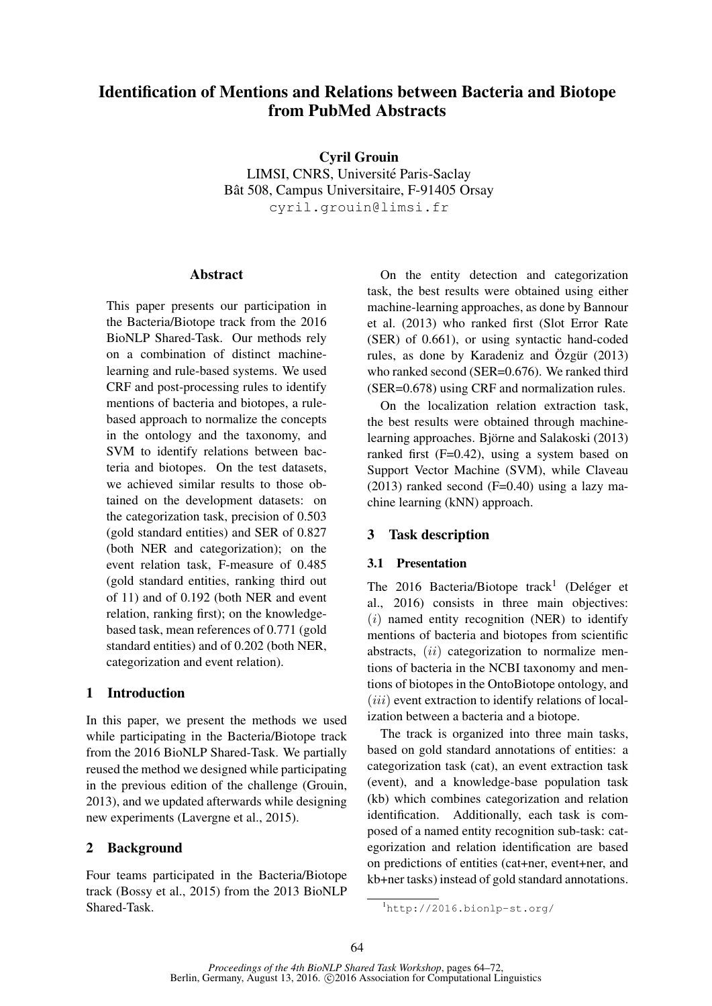# Identification of Mentions and Relations between Bacteria and Biotope from PubMed Abstracts

Cyril Grouin LIMSI, CNRS, Universite Paris-Saclay ´ Bât 508, Campus Universitaire, F-91405 Orsay cyril.grouin@limsi.fr

### **Abstract**

This paper presents our participation in the Bacteria/Biotope track from the 2016 BioNLP Shared-Task. Our methods rely on a combination of distinct machinelearning and rule-based systems. We used CRF and post-processing rules to identify mentions of bacteria and biotopes, a rulebased approach to normalize the concepts in the ontology and the taxonomy, and SVM to identify relations between bacteria and biotopes. On the test datasets, we achieved similar results to those obtained on the development datasets: on the categorization task, precision of 0.503 (gold standard entities) and SER of 0.827 (both NER and categorization); on the event relation task, F-measure of 0.485 (gold standard entities, ranking third out of 11) and of 0.192 (both NER and event relation, ranking first); on the knowledgebased task, mean references of 0.771 (gold standard entities) and of 0.202 (both NER, categorization and event relation).

## 1 Introduction

In this paper, we present the methods we used while participating in the Bacteria/Biotope track from the 2016 BioNLP Shared-Task. We partially reused the method we designed while participating in the previous edition of the challenge (Grouin, 2013), and we updated afterwards while designing new experiments (Lavergne et al., 2015).

## 2 Background

Four teams participated in the Bacteria/Biotope track (Bossy et al., 2015) from the 2013 BioNLP Shared-Task.

On the entity detection and categorization task, the best results were obtained using either machine-learning approaches, as done by Bannour et al. (2013) who ranked first (Slot Error Rate (SER) of 0.661), or using syntactic hand-coded rules, as done by Karadeniz and Özgür  $(2013)$ who ranked second (SER=0.676). We ranked third (SER=0.678) using CRF and normalization rules.

On the localization relation extraction task, the best results were obtained through machinelearning approaches. Björne and Salakoski (2013) ranked first (F=0.42), using a system based on Support Vector Machine (SVM), while Claveau  $(2013)$  ranked second  $(F=0.40)$  using a lazy machine learning (kNN) approach.

## 3 Task description

## 3.1 Presentation

The 2016 Bacteria/Biotope track<sup>1</sup> (Deléger et al., 2016) consists in three main objectives:  $(i)$  named entity recognition (NER) to identify mentions of bacteria and biotopes from scientific abstracts, (ii) categorization to normalize mentions of bacteria in the NCBI taxonomy and mentions of biotopes in the OntoBiotope ontology, and  $(iii)$  event extraction to identify relations of localization between a bacteria and a biotope.

The track is organized into three main tasks, based on gold standard annotations of entities: a categorization task (cat), an event extraction task (event), and a knowledge-base population task (kb) which combines categorization and relation identification. Additionally, each task is composed of a named entity recognition sub-task: categorization and relation identification are based on predictions of entities (cat+ner, event+ner, and kb+ner tasks) instead of gold standard annotations.

<sup>1</sup>http://2016.bionlp-st.org/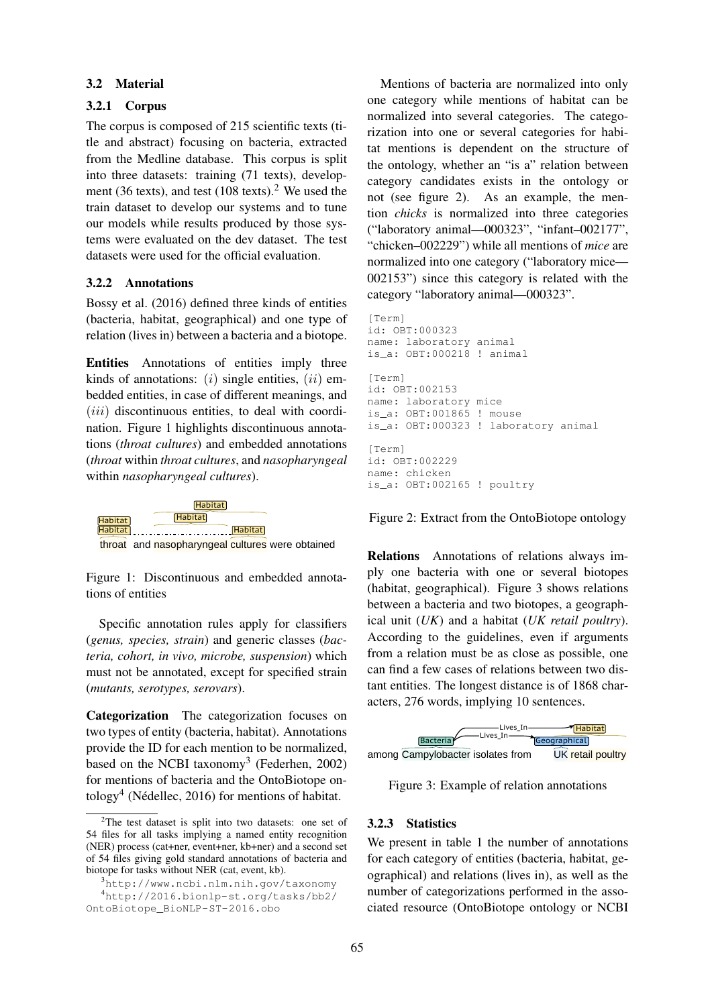#### 3.2 Material

### 3.2.1 Corpus

The corpus is composed of 215 scientific texts (title and abstract) focusing on bacteria, extracted from the Medline database. This corpus is split into three datasets: training (71 texts), development (36 texts), and test (108 texts).<sup>2</sup> We used the train dataset to develop our systems and to tune our models while results produced by those systems were evaluated on the dev dataset. The test datasets were used for the official evaluation.

### 3.2.2 Annotations

Bossy et al. (2016) defined three kinds of entities (bacteria, habitat, geographical) and one type of  $[\text{Term}]$ relation (lives in) between a bacteria and a biotope.

**Entities** Annotations of entities imply three kinds of annotations:  $(i)$  single entities,  $(ii)$  embedded entities, in case of different meanings, and  $(iii)$  discontinuous entities, to deal with coordination. Figure 1 highlights discontinuous annotations (*throat cultures*) and embedded annotations (*throat* within *throat cultures*, and *nasopharyngeal* id: OBT:0022 within *nasopharyngeal cultures*).



Figure 1: Discontinuous and embedded annotations of entities

Specific annotation rules apply for classifiers and unit  $(UK)$  and  $U(K)$ *teria, cohort, in vivo, microbe, suspension*) which must not be annotated, except for specified strain

provide the 1D for each member to be normalized, although a among Campylobacter isolates from UK ret. based on the NCBI taxonomy<sup>3</sup> (Federhen, 2002)  $\overline{\text{Cov}}$  (recently, 2010) children who had  $\overline{\text{Cov}}$ provide the ID for each mention to be normalized,  $\mu$  increases of bacteria and the OhtoDiotope on-<br>tology<sup>4</sup> (Nédellec, 2016) for mentions of habitat. Categorization The categorization focuses on two types of entity (bacteria, habitat). Annotations for mentions of bacteria and the OntoBiotope on-

Mentions of bacteria are normalized into only one category while mentions of habitat can be normalized into several categories. The categorization into one or several categories for habitat mentions is dependent on the structure of the ontology, whether an "is a" relation between category candidates exists in the ontology or not (see figure 2). As an example, the mention *chicks* is normalized into three categories ("laboratory animal—000323", "infant–002177", "chicken–002229") while all mentions of *mice* are normalized into one category ("laboratory mice— 002153") since this category is related with the category "laboratory animal—000323".

```
T_{\text{min}} T_{\text{max}} T_{\text{max}} T_{\text{max}} T_{\text{max}} T_{\text{max}} T_{\text{max}} T_{\text{max}} is T_{\text{max}} organism is T_{\text{max}} the respirator in the T_{\text{max}} and T_{\text{max}} and its T_{\text{max}} and T_{\text{max}} and T_{\text{max}} and T_{\text{max}} 
                                                                                                                                         [Term]
                                                                                                                                         id: OBT:000323
                                                                                                                                         name: laboratory animal
                                                                                                                                         is_a: OBT:000218 ! animal
                                                                                                                                         [Term]
                                                                                                                                         id: OBT:002153
                                                                                                                                         name: laboratory mice
                                                                                                                                         is_a: OBT:001865 ! mouse
                                                                                                                                         is_a: OBT:000323 ! laboratory animal
                                                                                                                                         [Term]
                                                                                                                                         id: OBT:002229
                                                                                                                                         name: chicken
```
Figure 2: Extract from the OntoBiotope ontology

tions of entities (habitat, geographical). Figure 3 shows relations healthy infants are complexed as well-baby-care control than 6 month for routine values but none of  $\frac{1}{2}$  ( $\frac{1}{2}$ ,  $\frac{1}{2}$ ,  $\frac{1}{2}$ ,  $\frac{1}{2}$ ,  $\frac{1}{2}$ ,  $\frac{1}{2}$ ,  $\frac{1}{2}$ ,  $\frac{1}{2}$ ,  $\frac{1}{2}$ ,  $\frac{1}{2}$ , ply one bacteria with one or several biotopes tant entities. The longest distance is of 1868 char-<br>types, serovars). can find a few cases of relations between two disfrom a relation must be as close as possible, one (*genus, species, strain*) and generic classes (*bac*- According to the guidelines, even if arguments Relations Annotations of relations always imbetween a bacteria and two biotopes, a geographical unit (*UK*) and a habitat (*UK retail poultry*). According to the guidelines, even if arguments acters, 276 words, implying 10 sentences.



Figure 3: Example of relation annotations

### 3.2.3 Statistics

 $^{4}$ http://2016.bionlp-st.org/tasks/bb2/ number of categorizations performed in the assophylogenia gold standard annotations of bacteria and for each category of entities (bacteria, habitat, ge-<br>tasks without NEP (est synst ltb) ope\_BioNLP-ST-2016.obo ciated resource (OntoBiotope ontology or NCBI ographical) and relations (lives in), as well as the number of categorizations performed in the asso-

<sup>(</sup>NER) process (cat+ner, event+ner, kb+ner) and a second set we present in table 1 the number of annotations 54 files for all tasks implying a named entity recognition  $W_t$  $2$ The test dataset is split into two datasets: one set of biotope for tasks without NER (cat, event, kb). of 54 files giving gold standard annotations of bacteria and all tasks implying a named entity recognition<br>ess (cat+ner, event+ner, kb+ner) and a second set We present in table 1 the number of annotations

 $3$ http://www.ncbi.nlm.nih.gov/taxonomy

OntoBiotope\_BioNLP-ST-2016.obo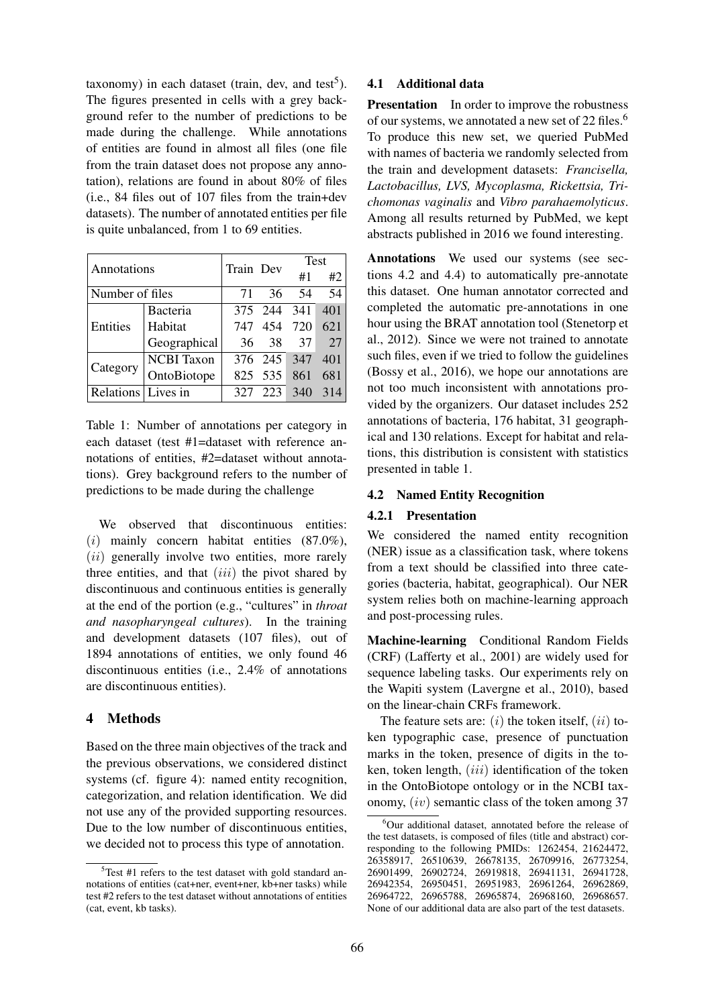taxonomy) in each dataset (train, dev, and test<sup>5</sup>). The figures presented in cells with a grey background refer to the number of predictions to be made during the challenge. While annotations of entities are found in almost all files (one file from the train dataset does not propose any annotation), relations are found in about 80% of files (i.e., 84 files out of 107 files from the train+dev datasets). The number of annotated entities per file is quite unbalanced, from 1 to 69 entities.

| Annotations          |                   | Train Dev |             | <b>Test</b> |     |
|----------------------|-------------------|-----------|-------------|-------------|-----|
|                      |                   |           |             | #1          | #2  |
| Number of files      |                   | 71        | 36          | 54          | 54  |
|                      | Bacteria          |           | 375 244     | 341         | 401 |
| Entities             | Habitat           | 747       | 454         | 720         | 621 |
|                      | Geographical      | 36        | 38          | 37          | 27  |
| Category             | <b>NCBI</b> Taxon |           | 376 245 347 |             | 401 |
|                      | OntoBiotope       |           | 825 535     | 861         | 681 |
| Relations   Lives in |                   | 327       | 223         | 340         | 314 |

Table 1: Number of annotations per category in each dataset (test #1=dataset with reference annotations of entities, #2=dataset without annotations). Grey background refers to the number of predictions to be made during the challenge

We observed that discontinuous entities:  $(i)$  mainly concern habitat entities  $(87.0\%)$ ,  $(ii)$  generally involve two entities, more rarely three entities, and that  $(iii)$  the pivot shared by discontinuous and continuous entities is generally at the end of the portion (e.g., "cultures" in *throat and nasopharyngeal cultures*). In the training and development datasets (107 files), out of 1894 annotations of entities, we only found 46 discontinuous entities (i.e., 2.4% of annotations are discontinuous entities).

## 4 Methods

Based on the three main objectives of the track and the previous observations, we considered distinct systems (cf. figure 4): named entity recognition, categorization, and relation identification. We did not use any of the provided supporting resources. Due to the low number of discontinuous entities, we decided not to process this type of annotation.

#### 4.1 Additional data

**Presentation** In order to improve the robustness of our systems, we annotated a new set of 22 files.<sup>6</sup> To produce this new set, we queried PubMed with names of bacteria we randomly selected from the train and development datasets: *Francisella, Lactobacillus, LVS, Mycoplasma, Rickettsia, Trichomonas vaginalis* and *Vibro parahaemolyticus*. Among all results returned by PubMed, we kept abstracts published in 2016 we found interesting.

Annotations We used our systems (see sections 4.2 and 4.4) to automatically pre-annotate this dataset. One human annotator corrected and completed the automatic pre-annotations in one hour using the BRAT annotation tool (Stenetorp et al., 2012). Since we were not trained to annotate such files, even if we tried to follow the guidelines (Bossy et al., 2016), we hope our annotations are not too much inconsistent with annotations provided by the organizers. Our dataset includes 252 annotations of bacteria, 176 habitat, 31 geographical and 130 relations. Except for habitat and relations, this distribution is consistent with statistics presented in table 1.

### 4.2 Named Entity Recognition

#### 4.2.1 Presentation

We considered the named entity recognition (NER) issue as a classification task, where tokens from a text should be classified into three categories (bacteria, habitat, geographical). Our NER system relies both on machine-learning approach and post-processing rules.

Machine-learning Conditional Random Fields (CRF) (Lafferty et al., 2001) are widely used for sequence labeling tasks. Our experiments rely on the Wapiti system (Lavergne et al., 2010), based on the linear-chain CRFs framework.

The feature sets are:  $(i)$  the token itself,  $(ii)$  token typographic case, presence of punctuation marks in the token, presence of digits in the token, token length,  $(iii)$  identification of the token in the OntoBiotope ontology or in the NCBI taxonomy, (iv) semantic class of the token among 37

 $5$ Test #1 refers to the test dataset with gold standard annotations of entities (cat+ner, event+ner, kb+ner tasks) while test #2 refers to the test dataset without annotations of entities (cat, event, kb tasks).

<sup>&</sup>lt;sup>6</sup>Our additional dataset, annotated before the release of the test datasets, is composed of files (title and abstract) corresponding to the following PMIDs: 1262454, 21624472, 26358917, 26510639, 26678135, 26709916, 26773254, 26901499, 26902724, 26919818, 26941131, 26941728, 26942354, 26950451, 26951983, 26961264, 26962869, 26964722, 26965788, 26965874, 26968160, 26968657. None of our additional data are also part of the test datasets.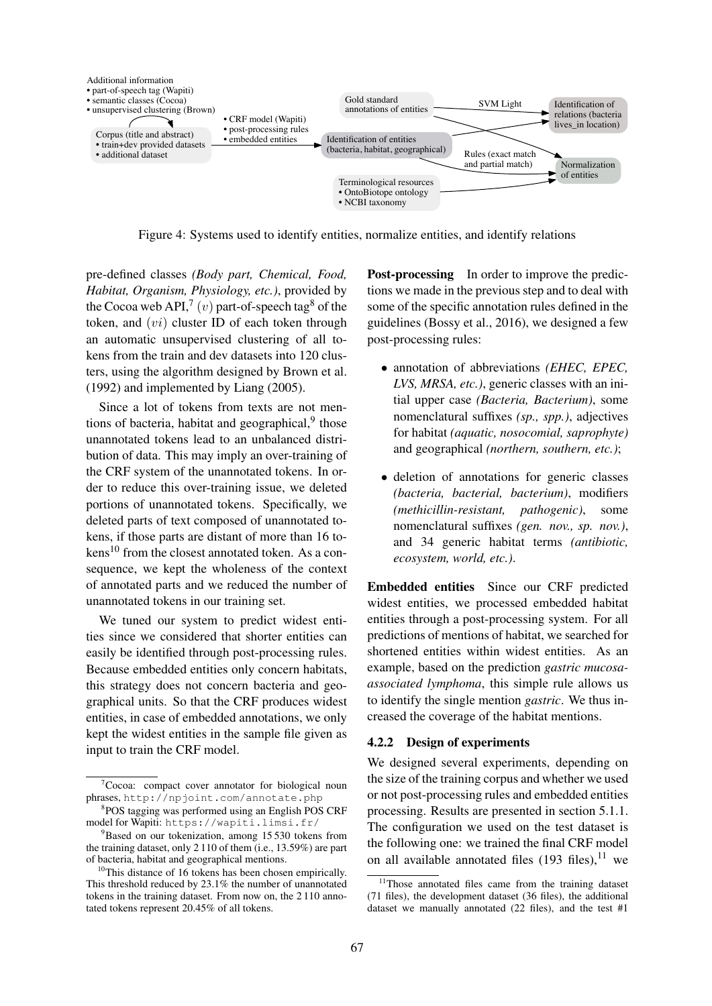

Figure 4: Systems used to identify entities, normalize entities, and identify relations

pre-defined classes *(Body part, Chemical, Food, Habitat, Organism, Physiology, etc.)*, provided by the Cocoa web API,<sup>7</sup> (*v*) part-of-speech tag<sup>8</sup> of the token, and  $(v_i)$  cluster ID of each token through an automatic unsupervised clustering of all tokens from the train and dev datasets into 120 clusters, using the algorithm designed by Brown et al. (1992) and implemented by Liang (2005).

Since a lot of tokens from texts are not mentions of bacteria, habitat and geographical,<sup>9</sup> those unannotated tokens lead to an unbalanced distribution of data. This may imply an over-training of the CRF system of the unannotated tokens. In order to reduce this over-training issue, we deleted portions of unannotated tokens. Specifically, we deleted parts of text composed of unannotated tokens, if those parts are distant of more than 16 to $kens<sup>10</sup>$  from the closest annotated token. As a consequence, we kept the wholeness of the context of annotated parts and we reduced the number of unannotated tokens in our training set.

We tuned our system to predict widest entities since we considered that shorter entities can easily be identified through post-processing rules. Because embedded entities only concern habitats, this strategy does not concern bacteria and geographical units. So that the CRF produces widest entities, in case of embedded annotations, we only kept the widest entities in the sample file given as input to train the CRF model.

Post-processing In order to improve the predictions we made in the previous step and to deal with some of the specific annotation rules defined in the guidelines (Bossy et al., 2016), we designed a few post-processing rules:

- annotation of abbreviations *(EHEC, EPEC, LVS, MRSA, etc.)*, generic classes with an initial upper case *(Bacteria, Bacterium)*, some nomenclatural suffixes *(sp., spp.)*, adjectives for habitat *(aquatic, nosocomial, saprophyte)* and geographical *(northern, southern, etc.)*;
- deletion of annotations for generic classes *(bacteria, bacterial, bacterium)*, modifiers *(methicillin-resistant, pathogenic)*, some nomenclatural suffixes *(gen. nov., sp. nov.)*, and 34 generic habitat terms *(antibiotic, ecosystem, world, etc.)*.

Embedded entities Since our CRF predicted widest entities, we processed embedded habitat entities through a post-processing system. For all predictions of mentions of habitat, we searched for shortened entities within widest entities. As an example, based on the prediction *gastric mucosaassociated lymphoma*, this simple rule allows us to identify the single mention *gastric*. We thus increased the coverage of the habitat mentions.

#### 4.2.2 Design of experiments

We designed several experiments, depending on the size of the training corpus and whether we used or not post-processing rules and embedded entities processing. Results are presented in section 5.1.1. The configuration we used on the test dataset is the following one: we trained the final CRF model on all available annotated files  $(193 \text{ files})$ , <sup>11</sup> we

 ${}^{7}$ Cocoa: compact cover annotator for biological noun phrases, http://npjoint.com/annotate.php

<sup>8</sup> POS tagging was performed using an English POS CRF model for Wapiti: https://wapiti.limsi.fr/

 $9^9$ Based on our tokenization, among 15 530 tokens from the training dataset, only 2 110 of them (i.e., 13.59%) are part of bacteria, habitat and geographical mentions.

 $10$ This distance of 16 tokens has been chosen empirically. This threshold reduced by 23.1% the number of unannotated tokens in the training dataset. From now on, the 2 110 annotated tokens represent 20.45% of all tokens.

<sup>&</sup>lt;sup>11</sup>Those annotated files came from the training dataset (71 files), the development dataset (36 files), the additional dataset we manually annotated (22 files), and the test #1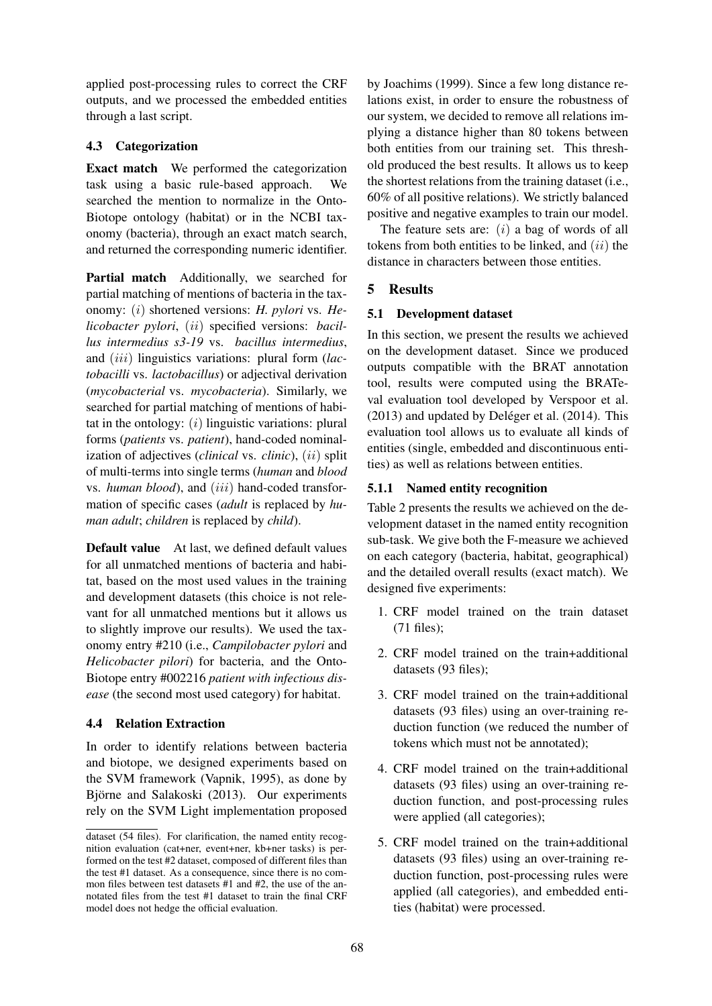applied post-processing rules to correct the CRF outputs, and we processed the embedded entities through a last script.

## 4.3 Categorization

Exact match We performed the categorization task using a basic rule-based approach. We searched the mention to normalize in the Onto-Biotope ontology (habitat) or in the NCBI taxonomy (bacteria), through an exact match search, and returned the corresponding numeric identifier.

Partial match Additionally, we searched for partial matching of mentions of bacteria in the taxonomy: (i) shortened versions: *H. pylori* vs. *Helicobacter pylori*, (ii) specified versions: *bacillus intermedius s3-19* vs. *bacillus intermedius*, and *(iii)* linguistics variations: plural form *(lactobacilli* vs. *lactobacillus*) or adjectival derivation (*mycobacterial* vs. *mycobacteria*). Similarly, we searched for partial matching of mentions of habitat in the ontology:  $(i)$  linguistic variations: plural forms (*patients* vs. *patient*), hand-coded nominalization of adjectives (*clinical* vs. *clinic*), (ii) split of multi-terms into single terms (*human* and *blood* vs. *human blood*), and (iii) hand-coded transformation of specific cases (*adult* is replaced by *human adult*; *children* is replaced by *child*).

Default value At last, we defined default values for all unmatched mentions of bacteria and habitat, based on the most used values in the training and development datasets (this choice is not relevant for all unmatched mentions but it allows us to slightly improve our results). We used the taxonomy entry #210 (i.e., *Campilobacter pylori* and *Helicobacter pilori*) for bacteria, and the Onto-Biotope entry #002216 *patient with infectious disease* (the second most used category) for habitat.

## 4.4 Relation Extraction

In order to identify relations between bacteria and biotope, we designed experiments based on the SVM framework (Vapnik, 1995), as done by Björne and Salakoski (2013). Our experiments rely on the SVM Light implementation proposed

by Joachims (1999). Since a few long distance relations exist, in order to ensure the robustness of our system, we decided to remove all relations implying a distance higher than 80 tokens between both entities from our training set. This threshold produced the best results. It allows us to keep the shortest relations from the training dataset (i.e., 60% of all positive relations). We strictly balanced positive and negative examples to train our model.

The feature sets are:  $(i)$  a bag of words of all tokens from both entities to be linked, and  $(ii)$  the distance in characters between those entities.

# 5 Results

## 5.1 Development dataset

In this section, we present the results we achieved on the development dataset. Since we produced outputs compatible with the BRAT annotation tool, results were computed using the BRATeval evaluation tool developed by Verspoor et al.  $(2013)$  and updated by Deléger et al.  $(2014)$ . This evaluation tool allows us to evaluate all kinds of entities (single, embedded and discontinuous entities) as well as relations between entities.

## 5.1.1 Named entity recognition

Table 2 presents the results we achieved on the development dataset in the named entity recognition sub-task. We give both the F-measure we achieved on each category (bacteria, habitat, geographical) and the detailed overall results (exact match). We designed five experiments:

- 1. CRF model trained on the train dataset (71 files);
- 2. CRF model trained on the train+additional datasets (93 files);
- 3. CRF model trained on the train+additional datasets (93 files) using an over-training reduction function (we reduced the number of tokens which must not be annotated);
- 4. CRF model trained on the train+additional datasets (93 files) using an over-training reduction function, and post-processing rules were applied (all categories);
- 5. CRF model trained on the train+additional datasets (93 files) using an over-training reduction function, post-processing rules were applied (all categories), and embedded entities (habitat) were processed.

dataset (54 files). For clarification, the named entity recognition evaluation (cat+ner, event+ner, kb+ner tasks) is performed on the test #2 dataset, composed of different files than the test #1 dataset. As a consequence, since there is no common files between test datasets #1 and #2, the use of the annotated files from the test #1 dataset to train the final CRF model does not hedge the official evaluation.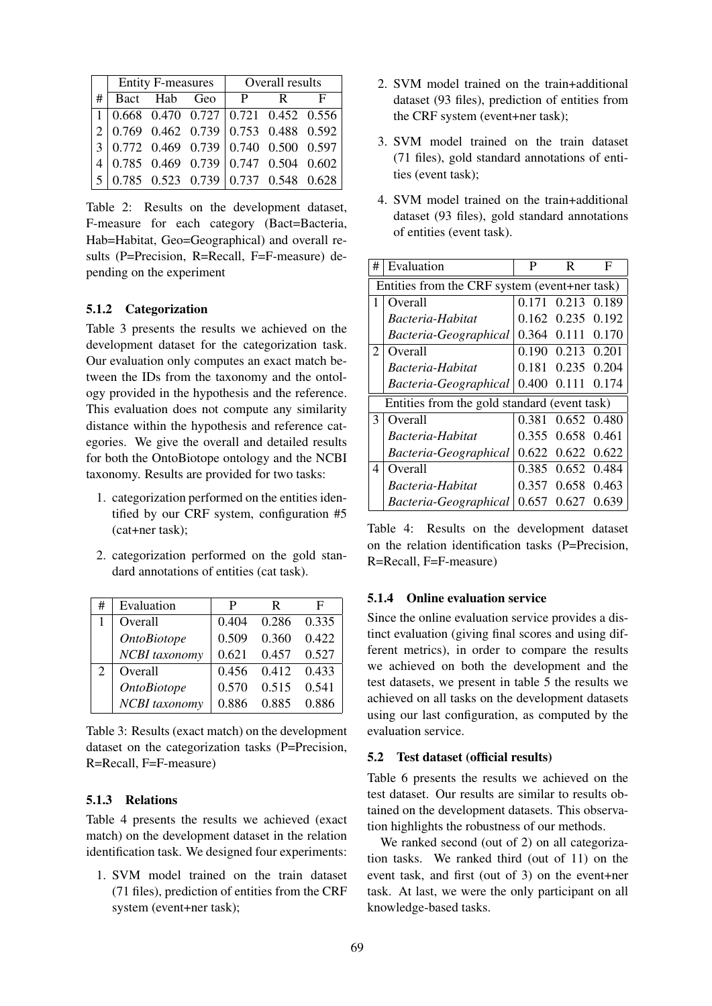|   | Entity F-measures   Overall results |                                                  |  |              |   |              |
|---|-------------------------------------|--------------------------------------------------|--|--------------|---|--------------|
| # |                                     | Bact Hab Geo                                     |  | $\mathbf{P}$ | R | $\mathbf{F}$ |
|   |                                     | 1   0.668 0.470 0.727   0.721 0.452 0.556        |  |              |   |              |
|   |                                     | $2 0.769 \t0.462 \t0.739 0.753 \t0.488 \t0.592 $ |  |              |   |              |
|   |                                     | $3 0.772 0.469 0.739 0.740 0.500 0.597 $         |  |              |   |              |
|   |                                     | 4 0.785 0.469 0.739 0.747 0.504 0.602            |  |              |   |              |
|   |                                     |                                                  |  |              |   |              |

Table 2: Results on the development dataset, F-measure for each category (Bact=Bacteria, Hab=Habitat, Geo=Geographical) and overall results (P=Precision, R=Recall, F=F-measure) depending on the experiment

### 5.1.2 Categorization

Table 3 presents the results we achieved on the development dataset for the categorization task. Our evaluation only computes an exact match between the IDs from the taxonomy and the ontology provided in the hypothesis and the reference. This evaluation does not compute any similarity distance within the hypothesis and reference categories. We give the overall and detailed results for both the OntoBiotope ontology and the NCBI taxonomy. Results are provided for two tasks:

- 1. categorization performed on the entities identified by our CRF system, configuration #5 (cat+ner task);
- 2. categorization performed on the gold standard annotations of entities (cat task).

| # | Evaluation         | P     | R     | F     |
|---|--------------------|-------|-------|-------|
|   | Overall            | 0.404 | 0.286 | 0.335 |
|   | <b>OntoBiotope</b> | 0.509 | 0.360 | 0.422 |
|   | NCBI taxonomy      | 0.621 | 0.457 | 0.527 |
|   | Overall            | 0.456 | 0.412 | 0.433 |
|   | <b>OntoBiotope</b> | 0.570 | 0.515 | 0.541 |
|   | NCBI taxonomy      | 0.886 | 0.885 | 0.886 |

Table 3: Results (exact match) on the development dataset on the categorization tasks (P=Precision, R=Recall, F=F-measure)

#### 5.1.3 Relations

Table 4 presents the results we achieved (exact match) on the development dataset in the relation identification task. We designed four experiments:

1. SVM model trained on the train dataset (71 files), prediction of entities from the CRF system (event+ner task);

- 2. SVM model trained on the train+additional dataset (93 files), prediction of entities from the CRF system (event+ner task);
- 3. SVM model trained on the train dataset (71 files), gold standard annotations of entities (event task);
- 4. SVM model trained on the train+additional dataset (93 files), gold standard annotations of entities (event task).

| # | Evaluation                                    | P     | R                 | F     |  |  |  |
|---|-----------------------------------------------|-------|-------------------|-------|--|--|--|
|   | Entities from the CRF system (event+ner task) |       |                   |       |  |  |  |
| 1 | Overall                                       | 0.171 | 0.213             | 0.189 |  |  |  |
|   | Bacteria-Habitat                              |       | 0.162 0.235 0.192 |       |  |  |  |
|   | Bacteria-Geographical                         | 0.364 | 0.111 0.170       |       |  |  |  |
| 2 | Overall                                       |       | 0.190 0.213 0.201 |       |  |  |  |
|   | Bacteria-Habitat                              | 0.181 | 0.235             | 0.204 |  |  |  |
|   | Bacteria-Geographical                         | 0.400 | 0.111             | 0.174 |  |  |  |
|   | Entities from the gold standard (event task)  |       |                   |       |  |  |  |
| 3 | Overall                                       |       | 0.381 0.652 0.480 |       |  |  |  |
|   | Bacteria-Habitat                              | 0.355 | 0.658 0.461       |       |  |  |  |
|   | Bacteria-Geographical                         |       | 0.622 0.622 0.622 |       |  |  |  |
| 4 | Overall                                       |       | 0.385 0.652 0.484 |       |  |  |  |
|   | Bacteria-Habitat                              | 0.357 | 0.658             | 0.463 |  |  |  |
|   | Bacteria-Geographical                         | 0.657 | 0.627             | 0.639 |  |  |  |

Table 4: Results on the development dataset on the relation identification tasks (P=Precision, R=Recall, F=F-measure)

### 5.1.4 Online evaluation service

Since the online evaluation service provides a distinct evaluation (giving final scores and using different metrics), in order to compare the results we achieved on both the development and the test datasets, we present in table 5 the results we achieved on all tasks on the development datasets using our last configuration, as computed by the evaluation service.

#### 5.2 Test dataset (official results)

Table 6 presents the results we achieved on the test dataset. Our results are similar to results obtained on the development datasets. This observation highlights the robustness of our methods.

We ranked second (out of 2) on all categorization tasks. We ranked third (out of 11) on the event task, and first (out of 3) on the event+ner task. At last, we were the only participant on all knowledge-based tasks.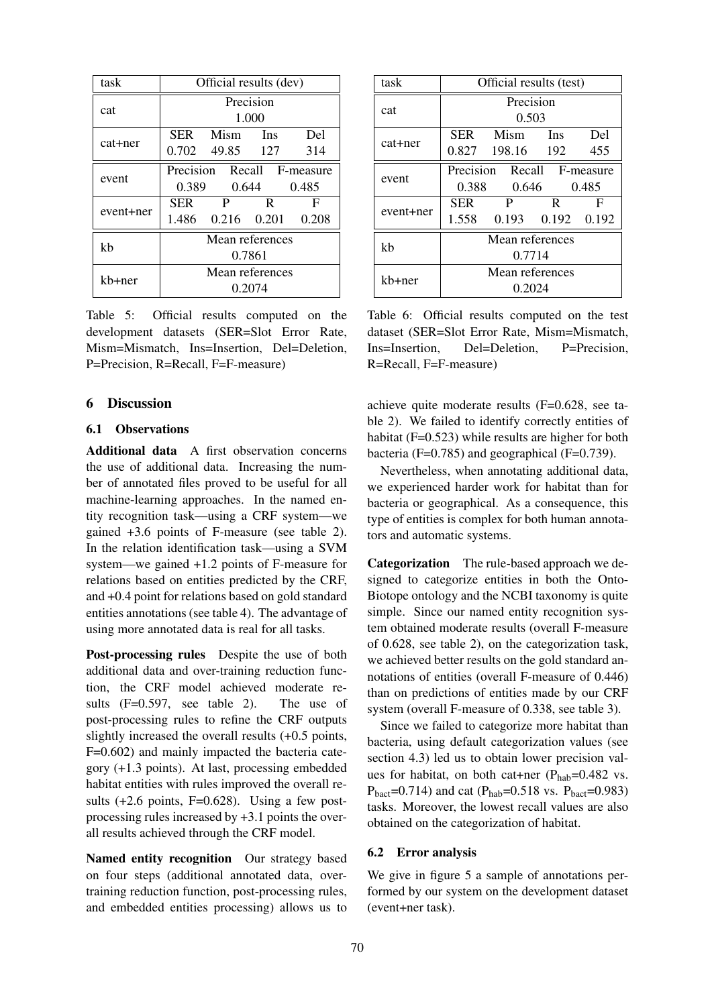| task      | Official results (dev)     |                         |              |     |  |  |
|-----------|----------------------------|-------------------------|--------------|-----|--|--|
| cat       | Precision                  |                         |              |     |  |  |
|           | 1.000                      |                         |              |     |  |  |
|           | <b>SER</b>                 | Mism Ins                |              | Del |  |  |
| cat+ner   |                            | 0.702 49.85 127         |              | 314 |  |  |
| event     | Precision Recall F-measure |                         |              |     |  |  |
|           |                            | 0.389 0.644 0.485       |              |     |  |  |
|           | SER                        | $\mathbf{P}$            | $\mathbf{R}$ | F   |  |  |
| event+ner |                            | 1.486 0.216 0.201 0.208 |              |     |  |  |
| kh        | Mean references            |                         |              |     |  |  |
|           | 0.7861                     |                         |              |     |  |  |
| kb+ner    | Mean references            |                         |              |     |  |  |
|           | 0.2074                     |                         |              |     |  |  |

Table 5: Official results computed on the development datasets (SER=Slot Error Rate, Mism=Mismatch, Ins=Insertion, Del=Deletion, P=Precision, R=Recall, F=F-measure)

### 6 Discussion

### 6.1 Observations

Additional data A first observation concerns the use of additional data. Increasing the number of annotated files proved to be useful for all machine-learning approaches. In the named entity recognition task—using a CRF system—we gained +3.6 points of F-measure (see table 2). In the relation identification task—using a SVM system—we gained +1.2 points of F-measure for relations based on entities predicted by the CRF, and +0.4 point for relations based on gold standard entities annotations (see table 4). The advantage of using more annotated data is real for all tasks.

Post-processing rules Despite the use of both additional data and over-training reduction function, the CRF model achieved moderate results (F=0.597, see table 2). The use of post-processing rules to refine the CRF outputs slightly increased the overall results (+0.5 points, F=0.602) and mainly impacted the bacteria category (+1.3 points). At last, processing embedded habitat entities with rules improved the overall results  $(+2.6 \text{ points}, F=0.628)$ . Using a few postprocessing rules increased by +3.1 points the overall results achieved through the CRF model.

Named entity recognition Our strategy based on four steps (additional annotated data, overtraining reduction function, post-processing rules, and embedded entities processing) allows us to

| task      | Official results (test) |                         |                  |       |  |  |
|-----------|-------------------------|-------------------------|------------------|-------|--|--|
| cat       | Precision               |                         |                  |       |  |  |
|           | 0.503                   |                         |                  |       |  |  |
|           | <b>SER</b>              | Mism Ins                |                  | Del   |  |  |
| cat+ner   |                         | 0.827 198.16 192        |                  | 455   |  |  |
| event     | Precision               |                         | Recall F-measure |       |  |  |
|           |                         | 0.388 0.646             |                  | 0.485 |  |  |
| event+ner | SER                     | P                       | $\mathsf{R}$     | F     |  |  |
|           |                         | 1.558 0.193 0.192 0.192 |                  |       |  |  |
| kh        | Mean references         |                         |                  |       |  |  |
|           | 0.7714                  |                         |                  |       |  |  |
| kb+ner    | Mean references         |                         |                  |       |  |  |
|           | 0.2024                  |                         |                  |       |  |  |

Table 6: Official results computed on the test dataset (SER=Slot Error Rate, Mism=Mismatch, Ins=Insertion, Del=Deletion, P=Precision, R=Recall, F=F-measure)

achieve quite moderate results (F=0.628, see table 2). We failed to identify correctly entities of habitat (F=0.523) while results are higher for both bacteria (F=0.785) and geographical (F=0.739).

Nevertheless, when annotating additional data, we experienced harder work for habitat than for bacteria or geographical. As a consequence, this type of entities is complex for both human annotators and automatic systems.

Categorization The rule-based approach we designed to categorize entities in both the Onto-Biotope ontology and the NCBI taxonomy is quite simple. Since our named entity recognition system obtained moderate results (overall F-measure of 0.628, see table 2), on the categorization task, we achieved better results on the gold standard annotations of entities (overall F-measure of 0.446) than on predictions of entities made by our CRF system (overall F-measure of 0.338, see table 3).

Since we failed to categorize more habitat than bacteria, using default categorization values (see section 4.3) led us to obtain lower precision values for habitat, on both cat+ner ( $P_{hab}=0.482$  vs.  $P_{\text{bact}} = 0.714$ ) and cat ( $P_{\text{hab}} = 0.518$  vs.  $P_{\text{bact}} = 0.983$ ) tasks. Moreover, the lowest recall values are also obtained on the categorization of habitat.

#### 6.2 Error analysis

We give in figure 5 a sample of annotations performed by our system on the development dataset (event+ner task).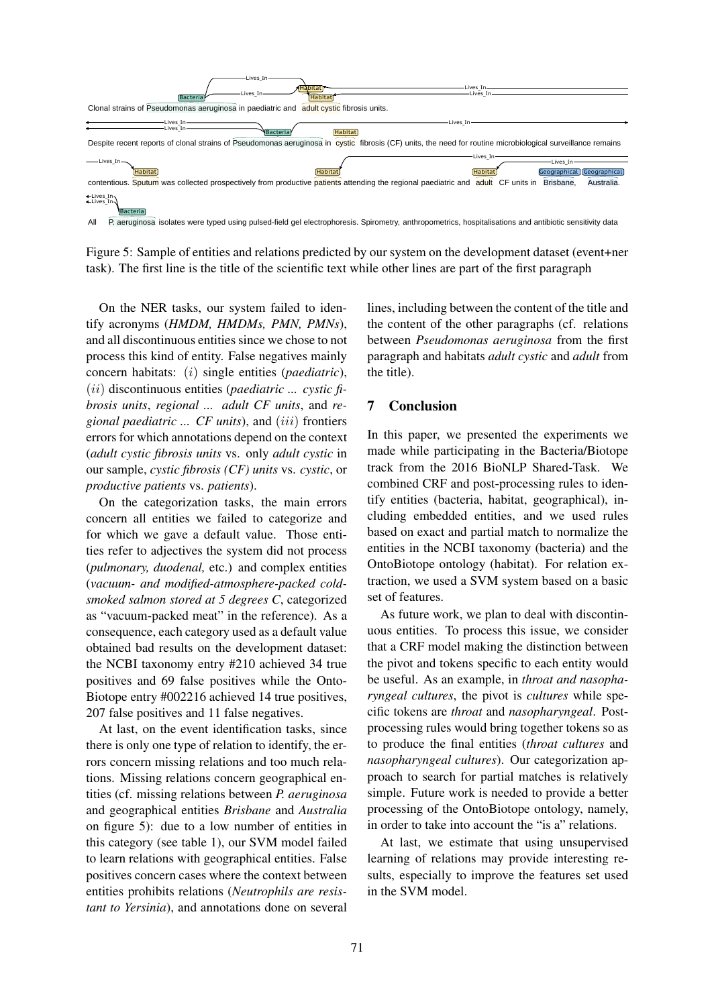

task). The first line is the title of the scientific text while other lines are part of the first paragraph Figure 5: Sample of entities and relations predicted by our system on the development dataset (event+ner

and all discontinuous entities since we chose to not between *Pseudomonas aeruginosa* from the unique strain group, patients harbouring harbouring harbouring harbouring harbouring harbouring harbouring harbouring harbourin concern habitats: (i) single entities (*paediatric*), the title).  $(ii)$  discontinuous entities (paediatric ... cystic fibrosis units regional adult  $CF$  units and respect to **Conclusion** *brosis units, regional ... adult CF units, and re-* 7 process this kind of entity. False negatives mainly On the NER tasks, our system failed to identify acronyms (*HMDM, HMDMs, PMN, PMNs*), *gional paediatric ... CF units*), and (iii) frontiers errors for which annotations depend on the context (*adult cystic fibrosis units* vs. only *adult cystic* in our sample, *cystic fibrosis (CF) units* vs. *cystic*, or *productive patients* vs. *patients*).

On the categorization tasks, the main errors concern all entities we failed to categorize and for which we gave a default value. Those entities refer to adjectives the system did not process (*pulmonary, duodenal,* etc.) and complex entities (*vacuum- and modified-atmosphere-packed coldsmoked salmon stored at 5 degrees C*, categorized as "vacuum-packed meat" in the reference). As a consequence, each category used as a default value obtained bad results on the development dataset: the NCBI taxonomy entry #210 achieved 34 true positives and 69 false positives while the Onto-Biotope entry #002216 achieved 14 true positives, 207 false positives and 11 false negatives.

tities (cf. missing relations between *P. aeruginosa* simple. Future work is needed to provide a better At last, on the event identification tasks, since there is only one type of relation to identify, the errors concern missing relations and too much relations. Missing relations concern geographical enand geographical entities *Brisbane* and *Australia* on figure 5): due to a low number of entities in this category (see table 1), our SVM model failed to learn relations with geographical entities. False positives concern cases where the context between entities prohibits relations (*Neutrophils are resistant to Yersinia*), and annotations done on several

On the NER tasks, our system failed to iden-<br>lines, including between the content of the title and IMDMs, PMN, PMNs), the content of the other paragraphs (cf. relations between *Pseudomonas aeruginosa* from the first paragraph and habitats *adult cystic* and *adult* from the title).

## 7 Conclusion

In this paper, we presented the experiments we made while participating in the Bacteria/Biotope track from the 2016 BioNLP Shared-Task. We combined CRF and post-processing rules to identify entities (bacteria, habitat, geographical), including embedded entities, and we used rules based on exact and partial match to normalize the entities in the NCBI taxonomy (bacteria) and the OntoBiotope ontology (habitat). For relation extraction, we used a SVM system based on a basic set of features.

As future work, we plan to deal with discontinuous entities. To process this issue, we consider that a CRF model making the distinction between the pivot and tokens specific to each entity would be useful. As an example, in *throat and nasopharyngeal cultures*, the pivot is *cultures* while specific tokens are *throat* and *nasopharyngeal*. Postprocessing rules would bring together tokens so as to produce the final entities (*throat cultures* and *nasopharyngeal cultures*). Our categorization approach to search for partial matches is relatively simple. Future work is needed to provide a better processing of the OntoBiotope ontology, namely, in order to take into account the "is a" relations.

At last, we estimate that using unsupervised learning of relations may provide interesting results, especially to improve the features set used in the SVM model.